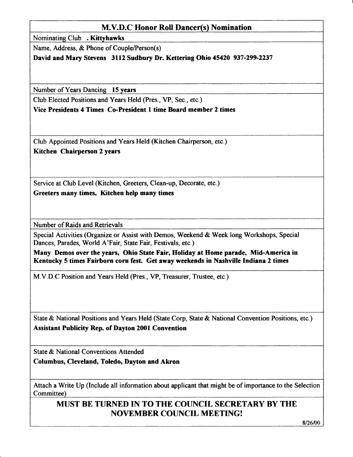## M.V.D.C Honor Roll Dancer(s) Nomination

Nominating Club . Kittyhawks

Name, Address, & Phone of Couple/Person(s)

David and Mary Stevens 3112 Sudbury Dr. Kettering Ohio 45420 937-299-2237

Number of Years Dancing 15 years

Club Elected Positions and Years Held (Pres., VP, Sec., etc.)

Vice Presidents 4 Times Co-Prcsident I time Board member 2 times

Club Appointed Positions and Years Held (Kitchen Chairpersoq etc.) Kitchen Chairperson 2 years

Service at Club Level (Kitchen, Greeters, Clean-up, Decorate, etc.) Greeters many times, Kitchen help many times

Number of Raids and Retrievals

Special Activities (Organize or Assist with Demos, Weekend & Week long Workshops, Special Dances, Parades, World A'Fair, State Fair, Festivals, etc.)

Many Demos over the years, Ohio State Fair, Holiday at Home parade, Mid-America in Kentucky 5 times Fairborn corn fest. Get away weekends in Nashville Indiana 2 times

M.V.D.C Position and Years Held (Pres., VP, Treasurer, Trustee, etc.)

State & National Positions and Years Held (State Corp, State & National Convention Positions, etc.) Assistant Publicity Rep. of Dayton 2001 Convention

State & National Conventions Attended

Columbus, Cleveland, Toledo, Dayton and Akron

Attach a Write Up (Include all information about applicant that might be of importance to the Selection Committee)

## MUST BE TURNED IN TO THE COUNCIL SECRETARY BY THE NOVEMBER COUNCIL MEETING!

8/26/00